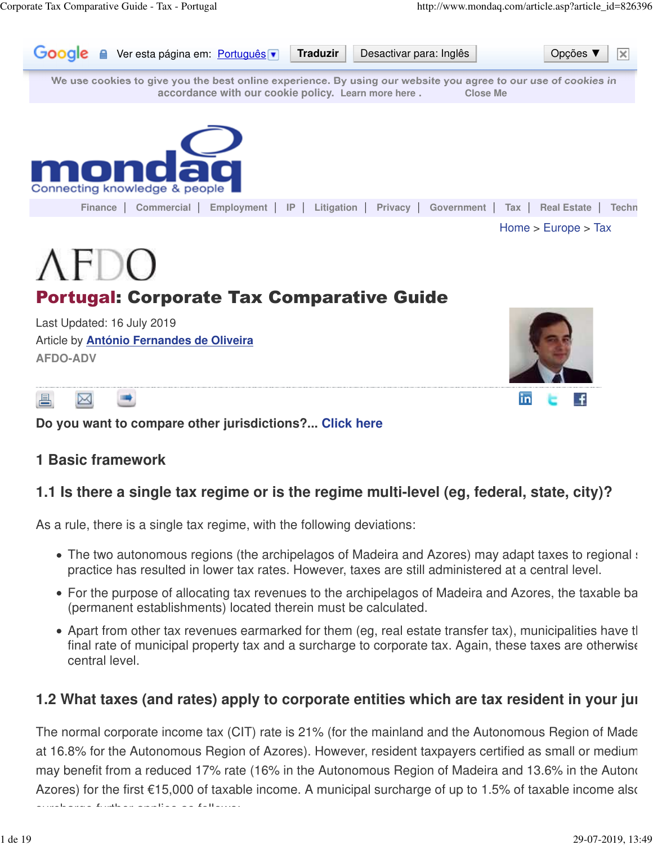

昌 ⊠

**Do you want to compare other jurisdictions?... Click here**

#### **1 Basic framework**

#### **1.1 Is there a single tax regime or is the regime multi-level (eg, federal, state, city)?**

As a rule, there is a single tax regime, with the following deviations:

- The two autonomous regions (the archipelagos of Madeira and Azores) may adapt taxes to regional specificities practice has resulted in lower tax rates. However, taxes are still administered at a central level.
- For the purpose of allocating tax revenues to the archipelagos of Madeira and Azores, the taxable ba (permanent establishments) located therein must be calculated.
- $\bullet$  Apart from other tax revenues earmarked for them (eg, real estate transfer tax), municipalities have the power final rate of municipal property tax and a surcharge to corporate tax. Again, these taxes are otherwise central level.

### **1.2 What taxes (and rates) apply to corporate entities which are tax resident in your jurity**

The normal corporate income tax (CIT) rate is 21% (for the mainland and the Autonomous Region of Made at 16.8% for the Autonomous Region of Azores). However, resident taxpayers certified as small or mediummay benefit from a reduced 17% rate (16% in the Autonomous Region of Madeira and 13.6% in the Autonom Azores) for the first  $\epsilon$ 15,000 of taxable income. A municipal surcharge of up to 1.5% of taxable income also

surcharge funther as follows: as follows: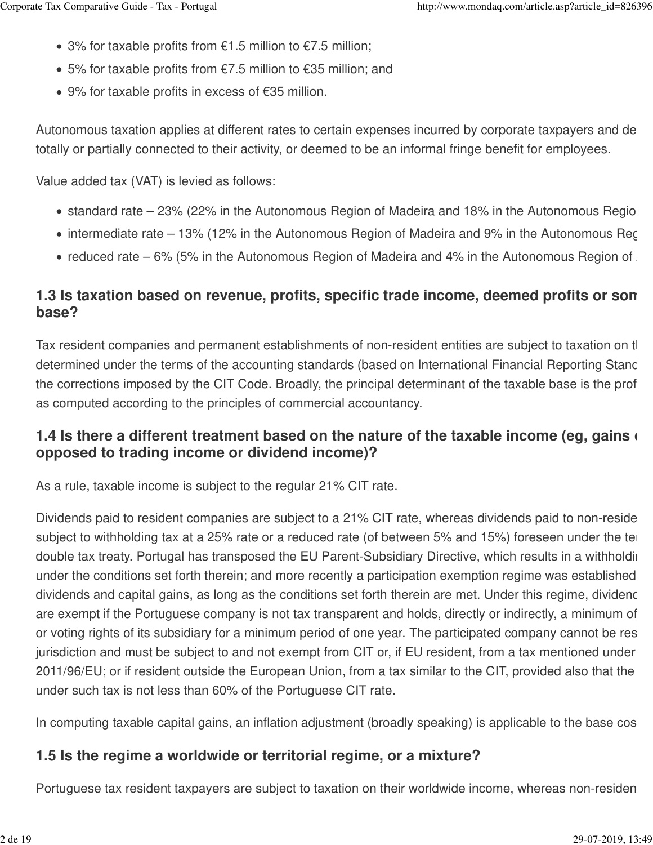- 3% for taxable profits from  $€1.5$  million to  $€7.5$  million;
- 5% for taxable profits from  $€7.5$  million to  $€35$  million; and
- 9% for taxable profits in excess of €35 million.

Autonomous taxation applies at different rates to certain expenses incurred by corporate taxpayers and de totally or partially connected to their activity, or deemed to be an informal fringe benefit for employees.

Value added tax (VAT) is levied as follows:

- standard rate 23% (22% in the Autonomous Region of Madeira and 18% in the Autonomous Region
- $\bullet$  intermediate rate 13% (12% in the Autonomous Region of Madeira and 9% in the Autonomous Reg
- reduced rate 6% (5% in the Autonomous Region of Madeira and 4% in the Autonomous Region of  $\Lambda$

## **1.3 Is taxation based on revenue, profits, specific trade income, deemed profits or son base?**

Tax resident companies and permanent establishments of non-resident entities are subject to taxation on the determined under the terms of the accounting standards (based on International Financial Reporting Stand the corrections imposed by the CIT Code. Broadly, the principal determinant of the taxable base is the profitas computed according to the principles of commercial accountancy.

### **1.4 Is there a different treatment based on the nature of the taxable income (eg, gains on opposed to trading income or dividend income)?**

As a rule, taxable income is subject to the regular 21% CIT rate.

Dividends paid to resident companies are subject to a 21% CIT rate, whereas dividends paid to non-reside subject to withholding tax at a 25% rate or a reduced rate (of between 5% and 15%) foreseen under the term double tax treaty. Portugal has transposed the EU Parent-Subsidiary Directive, which results in a withholding under the conditions set forth therein; and more recently a participation exemption regime was established dividends and capital gains, as long as the conditions set forth therein are met. Under this regime, dividence are exempt if the Portuguese company is not tax transparent and holds, directly or indirectly, a minimum of or voting rights of its subsidiary for a minimum period of one year. The participated company cannot be rese jurisdiction and must be subject to and not exempt from CIT or, if EU resident, from a tax mentioned under 2011/96/EU; or if resident outside the European Union, from a tax similar to the CIT, provided also that the under such tax is not less than 60% of the Portuguese CIT rate.

In computing taxable capital gains, an inflation adjustment (broadly speaking) is applicable to the base cost.

#### **1.5 Is the regime a worldwide or territorial regime, or a mixture?**

Portuguese tax resident taxpayers are subject to taxation on their worldwide income, whereas non-resident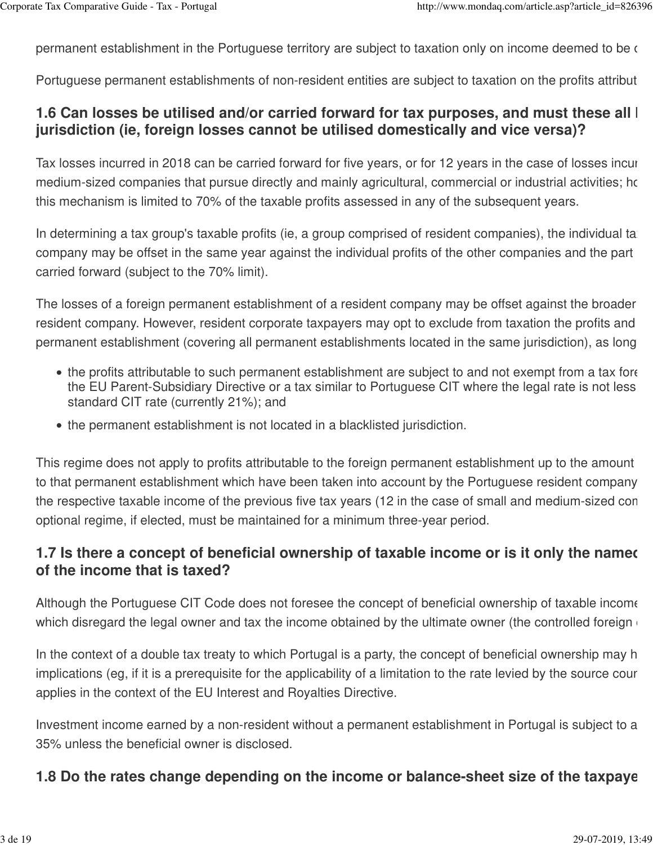permanent establishment in the Portuguese territory are subject to taxation only on income deemed to be on

Portuguese permanent establishments of non-resident entities are subject to taxation on the profits attribut

### **1.6 Can losses be utilised and/or carried forward for tax purposes, and must these all I jurisdiction (ie, foreign losses cannot be utilised domestically and vice versa)?**

Tax losses incurred in 2018 can be carried forward for five years, or for 12 years in the case of losses incur medium-sized companies that pursue directly and mainly agricultural, commercial or industrial activities; how this mechanism is limited to 70% of the taxable profits assessed in any of the subsequent years.

In determining a tax group's taxable profits (ie, a group comprised of resident companies), the individual tax company may be offset in the same year against the individual profits of the other companies and the part carried forward (subject to the 70% limit).

The losses of a foreign permanent establishment of a resident company may be offset against the broader resident company. However, resident corporate taxpayers may opt to exclude from taxation the profits and permanent establishment (covering all permanent establishments located in the same jurisdiction), as long

- the profits attributable to such permanent establishment are subject to and not exempt from a tax fore the EU Parent-Subsidiary Directive or a tax similar to Portuguese CIT where the legal rate is not less standard CIT rate (currently 21%); and
- the permanent establishment is not located in a blacklisted jurisdiction.

This regime does not apply to profits attributable to the foreign permanent establishment up to the amount to that permanent establishment which have been taken into account by the Portuguese resident company the respective taxable income of the previous five tax years (12 in the case of small and medium-sized con optional regime, if elected, must be maintained for a minimum three-year period.

### **1.7 Is there a concept of beneficial ownership of taxable income or is it only the named of the income that is taxed?**

Although the Portuguese CIT Code does not foresee the concept of beneficial ownership of taxable income which disregard the legal owner and tax the income obtained by the ultimate owner (the controlled foreign  $\epsilon$ 

In the context of a double tax treaty to which Portugal is a party, the concept of beneficial ownership may h implications (eg, if it is a prerequisite for the applicability of a limitation to the rate levied by the source cour applies in the context of the EU Interest and Royalties Directive.

Investment income earned by a non-resident without a permanent establishment in Portugal is subject to a 35% unless the beneficial owner is disclosed.

#### **1.8 Do the rates change depending on the income or balance-sheet size of the taxpaye**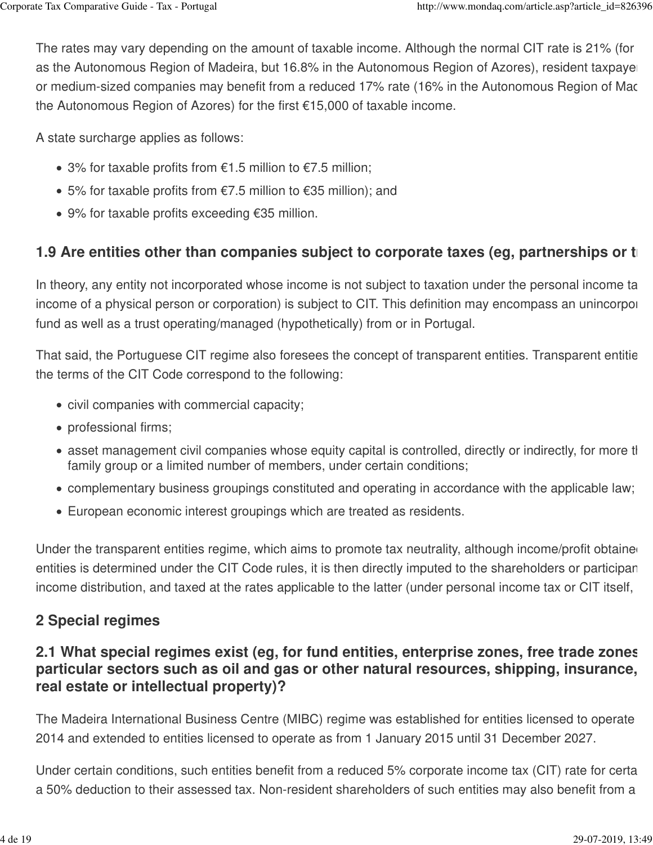The rates may vary depending on the amount of taxable income. Although the normal CIT rate is 21% (for as the Autonomous Region of Madeira, but 16.8% in the Autonomous Region of Azores), resident taxpayer or medium-sized companies may benefit from a reduced 17% rate (16% in the Autonomous Region of Mac the Autonomous Region of Azores) for the first €15,000 of taxable income.

A state surcharge applies as follows:

- 3% for taxable profits from  $€1.5$  million to  $€7.5$  million;
- 5% for taxable profits from  $€7.5$  million to  $€35$  million); and
- 9% for taxable profits exceeding €35 million.

# **1.9 Are entities other than companies subject to corporate taxes (eg, partnerships or tends)**

In theory, any entity not incorporated whose income is not subject to taxation under the personal income ta income of a physical person or corporation) is subject to CIT. This definition may encompass an unincorpor fund as well as a trust operating/managed (hypothetically) from or in Portugal.

That said, the Portuguese CIT regime also foresees the concept of transparent entities. Transparent entitie the terms of the CIT Code correspond to the following:

- civil companies with commercial capacity;
- professional firms;
- asset management civil companies whose equity capital is controlled, directly or indirectly, for more than family group or a limited number of members, under certain conditions;
- complementary business groupings constituted and operating in accordance with the applicable law;
- European economic interest groupings which are treated as residents.

Under the transparent entities regime, which aims to promote tax neutrality, although income/profit obtaine entities is determined under the CIT Code rules, it is then directly imputed to the shareholders or participan income distribution, and taxed at the rates applicable to the latter (under personal income tax or CIT itself,

# **2 Special regimes**

## **2.1 What special regimes exist (eg, for fund entities, enterprise zones, free trade zones** particular sectors such as oil and gas or other natural resources, shipping, insurance, **real estate or intellectual property)?**

The Madeira International Business Centre (MIBC) regime was established for entities licensed to operate 2014 and extended to entities licensed to operate as from 1 January 2015 until 31 December 2027.

Under certain conditions, such entities benefit from a reduced 5% corporate income tax (CIT) rate for certa a 50% deduction to their assessed tax. Non-resident shareholders of such entities may also benefit from a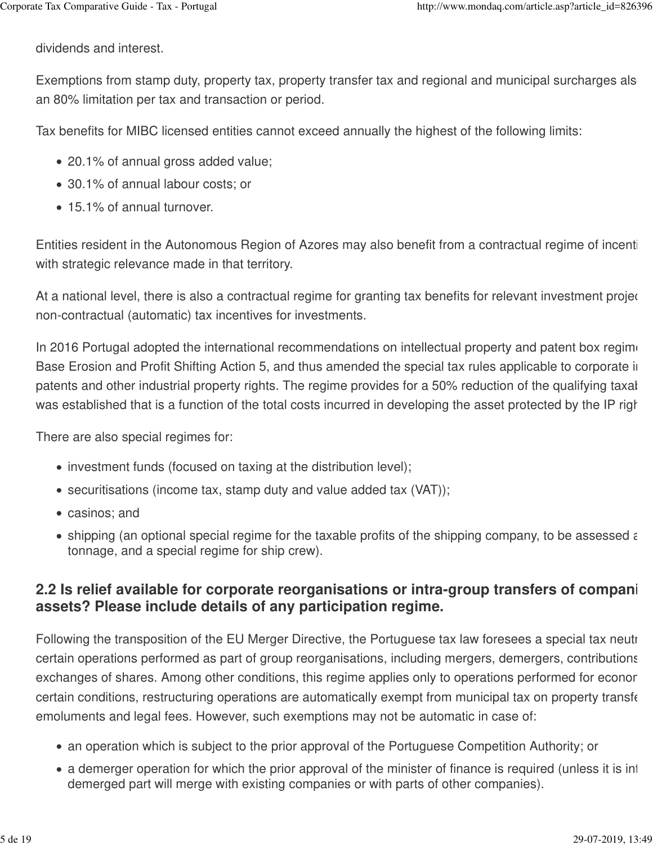dividends and interest.

Exemptions from stamp duty, property tax, property transfer tax and regional and municipal surcharges als an 80% limitation per tax and transaction or period.

Tax benefits for MIBC licensed entities cannot exceed annually the highest of the following limits:

- 20.1% of annual gross added value;
- 30.1% of annual labour costs; or
- 15.1% of annual turnover.

Entities resident in the Autonomous Region of Azores may also benefit from a contractual regime of incenti with strategic relevance made in that territory.

At a national level, there is also a contractual regime for granting tax benefits for relevant investment projec non-contractual (automatic) tax incentives for investments.

In 2016 Portugal adopted the international recommendations on intellectual property and patent box regime Base Erosion and Profit Shifting Action 5, and thus amended the special tax rules applicable to corporate in patents and other industrial property rights. The regime provides for a 50% reduction of the qualifying taxal was established that is a function of the total costs incurred in developing the asset protected by the IP righ

There are also special regimes for:

- investment funds (focused on taxing at the distribution level);
- securitisations (income tax, stamp duty and value added tax (VAT));
- casinos; and
- $\bullet$  shipping (an optional special regime for the taxable profits of the shipping company, to be assessed as tonnage, and a special regime for ship crew).

### **2.2 Is relief available for corporate reorganisations or intra-group transfers of compani assets? Please include details of any participation regime.**

Following the transposition of the EU Merger Directive, the Portuguese tax law foresees a special tax neutral certain operations performed as part of group reorganisations, including mergers, demergers, contributions exchanges of shares. Among other conditions, this regime applies only to operations performed for econor certain conditions, restructuring operations are automatically exempt from municipal tax on property transfer emoluments and legal fees. However, such exemptions may not be automatic in case of:

- an operation which is subject to the prior approval of the Portuguese Competition Authority; or
- a demerger operation for which the prior approval of the minister of finance is required (unless it is inter demerged part will merge with existing companies or with parts of other companies).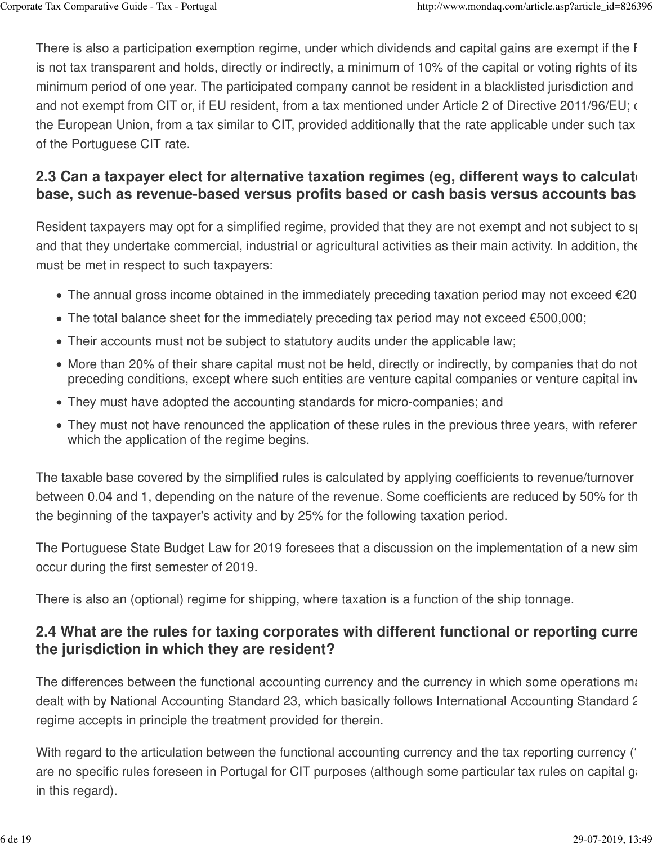There is also a participation exemption regime, under which dividends and capital gains are exempt if the F is not tax transparent and holds, directly or indirectly, a minimum of 10% of the capital or voting rights of its minimum period of one year. The participated company cannot be resident in a blacklisted jurisdiction and and not exempt from CIT or, if EU resident, from a tax mentioned under Article 2 of Directive 2011/96/EU; or, the European Union, from a tax similar to CIT, provided additionally that the rate applicable under such tax of the Portuguese CIT rate.

## **2.3 Can a taxpayer elect for alternative taxation regimes (eg. different ways to calculate** base, such as revenue-based versus profits based or cash basis versus accounts basi

Resident taxpayers may opt for a simplified regime, provided that they are not exempt and not subject to speci and that they undertake commercial, industrial or agricultural activities as their main activity. In addition, the must be met in respect to such taxpayers:

- The annual gross income obtained in the immediately preceding taxation period may not exceed  $\epsilon$ 20
- The total balance sheet for the immediately preceding tax period may not exceed €500,000;
- Their accounts must not be subject to statutory audits under the applicable law;
- More than 20% of their share capital must not be held, directly or indirectly, by companies that do not preceding conditions, except where such entities are venture capital companies or venture capital inv
- They must have adopted the accounting standards for micro-companies; and
- They must not have renounced the application of these rules in the previous three years, with referen which the application of the regime begins.

The taxable base covered by the simplified rules is calculated by applying coefficients to revenue/turnover between 0.04 and 1, depending on the nature of the revenue. Some coefficients are reduced by 50% for the the beginning of the taxpayer's activity and by 25% for the following taxation period.

The Portuguese State Budget Law for 2019 foresees that a discussion on the implementation of a new sim occur during the first semester of 2019.

There is also an (optional) regime for shipping, where taxation is a function of the ship tonnage.

### **2.4 What are the rules for taxing corporates with different functional or reporting curre the jurisdiction in which they are resident?**

The differences between the functional accounting currency and the currency in which some operations may dealt with by National Accounting Standard 23, which basically follows International Accounting Standard 2 regime accepts in principle the treatment provided for therein.

With regard to the articulation between the functional accounting currency and the tax reporting currency ( $\epsilon$ are no specific rules foreseen in Portugal for CIT purposes (although some particular tax rules on capital gai in this regard).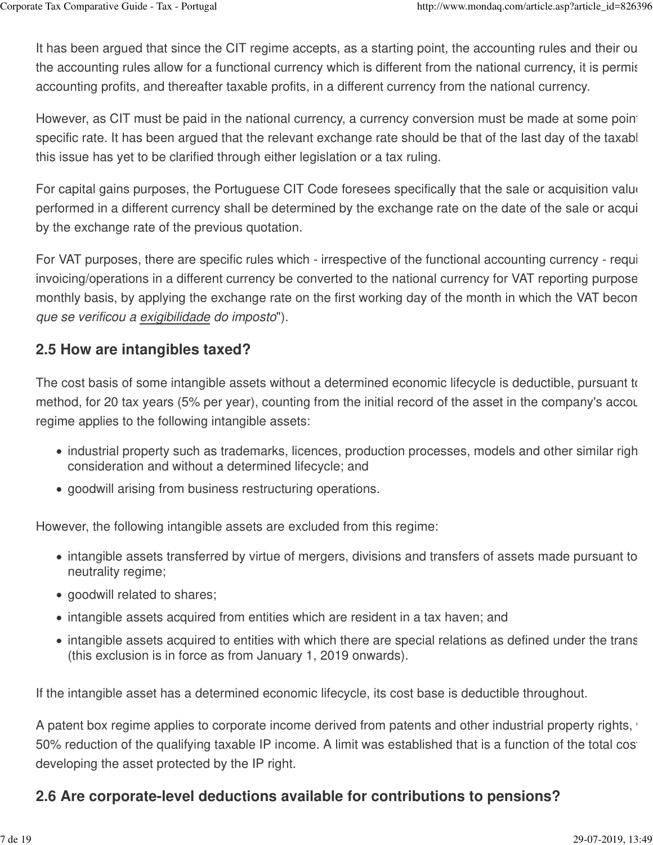It has been argued that since the CIT regime accepts, as a starting point, the accounting rules and their out the accounting rules allow for a functional currency which is different from the national currency, it is permis accounting profits, and thereafter taxable profits, in a different currency from the national currency.

However, as CIT must be paid in the national currency, a currency conversion must be made at some point specific rate. It has been argued that the relevant exchange rate should be that of the last day of the taxable this issue has yet to be clarified through either legislation or a tax ruling.

For capital gains purposes, the Portuguese CIT Code foresees specifically that the sale or acquisition value performed in a different currency shall be determined by the exchange rate on the date of the sale or acqui by the exchange rate of the previous quotation.

For VAT purposes, there are specific rules which - irrespective of the functional accounting currency - require invoicing/operations in a different currency be converted to the national currency for VAT reporting purpose monthly basis, by applying the exchange rate on the first working day of the month in which the VAT becon que se verificou a exigibilidade do imposto").

#### **2.5 How are intangibles taxed?**

The cost basis of some intangible assets without a determined economic lifecycle is deductible, pursuant to method, for 20 tax years (5% per year), counting from the initial record of the asset in the company's accounting books. The method, for all and the company's accounting books. The initial reconting books. The company's ac regime applies to the following intangible assets:

- industrial property such as trademarks, licences, production processes, models and other similar righ consideration and without a determined lifecycle; and
- goodwill arising from business restructuring operations.

However, the following intangible assets are excluded from this regime:

- intangible assets transferred by virtue of mergers, divisions and transfers of assets made pursuant to neutrality regime;
- goodwill related to shares;
- intangible assets acquired from entities which are resident in a tax haven; and
- intangible assets acquired to entities with which there are special relations as defined under the trans (this exclusion is in force as from January 1, 2019 onwards).

If the intangible asset has a determined economic lifecycle, its cost base is deductible throughout.

A patent box regime applies to corporate income derived from patents and other industrial property rights, 50% reduction of the qualifying taxable IP income. A limit was established that is a function of the total cost developing the asset protected by the IP right.

### **2.6 Are corporate-level deductions available for contributions to pensions?**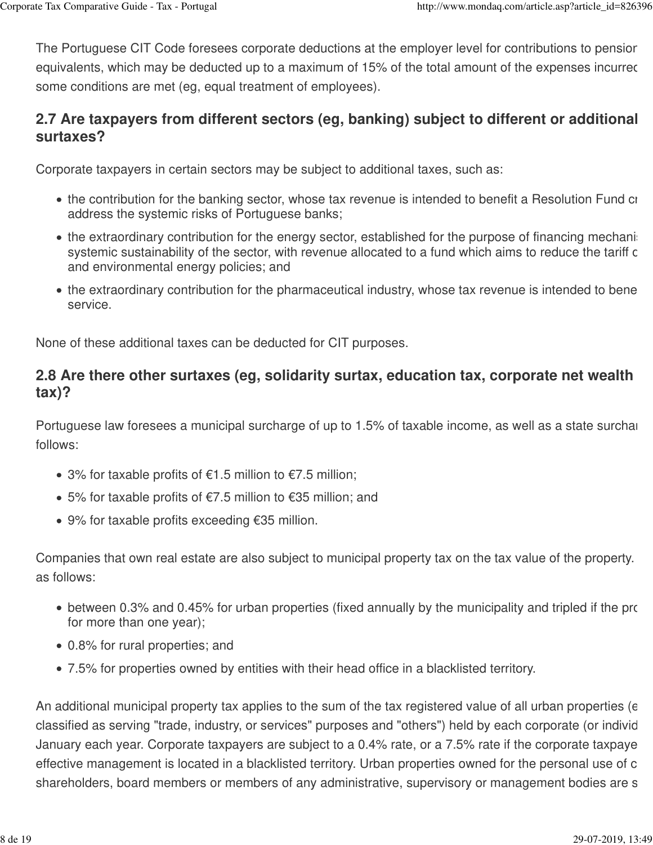The Portuguese CIT Code foresees corporate deductions at the employer level for contributions to pensior equivalents, which may be deducted up to a maximum of 15% of the total amount of the expenses incurred some conditions are met (eg, equal treatment of employees).

# **2.7 Are taxpayers from different sectors (eg, banking) subject to different or additional surtaxes?**

Corporate taxpayers in certain sectors may be subject to additional taxes, such as:

- the contribution for the banking sector, whose tax revenue is intended to benefit a Resolution Fund created in address the systemic risks of Portuguese banks;
- $\bullet$  the extraordinary contribution for the energy sector, established for the purpose of financing mechanis systemic sustainability of the sector, with revenue allocated to a fund which aims to reduce the tariff c and environmental energy policies; and
- the extraordinary contribution for the pharmaceutical industry, whose tax revenue is intended to bene service.

None of these additional taxes can be deducted for CIT purposes.

### **2.8 Are there other surtaxes (eg, solidarity surtax, education tax, corporate net wealth tax)?**

Portuguese law foresees a municipal surcharge of up to 1.5% of taxable income, as well as a state surcharge por follows:

- 3% for taxable profits of €1.5 million to €7.5 million;
- 5% for taxable profits of €7.5 million to €35 million; and
- 9% for taxable profits exceeding €35 million.

Companies that own real estate are also subject to municipal property tax on the tax value of the property. as follows:

- between 0.3% and 0.45% for urban properties (fixed annually by the municipality and tripled if the prop for more than one year);
- 0.8% for rural properties; and
- 7.5% for properties owned by entities with their head office in a blacklisted territory.

An additional municipal property tax applies to the sum of the tax registered value of all urban properties (e classified as serving "trade, industry, or services" purposes and "others") held by each corporate (or individ January each year. Corporate taxpayers are subject to a 0.4% rate, or a 7.5% rate if the corporate taxpaye effective management is located in a blacklisted territory. Urban properties owned for the personal use of c shareholders, board members or members of any administrative, supervisory or management bodies are s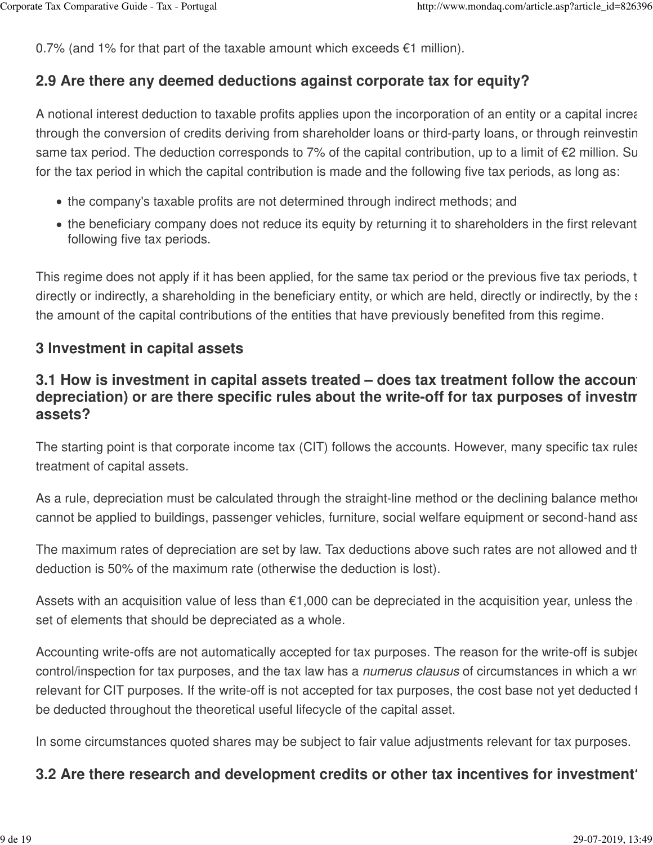0.7% (and 1% for that part of the taxable amount which exceeds  $\epsilon$ 1 million).

#### **2.9 Are there any deemed deductions against corporate tax for equity?**

A notional interest deduction to taxable profits applies upon the incorporation of an entity or a capital increa through the conversion of credits deriving from shareholder loans or third-party loans, or through reinvestin same tax period. The deduction corresponds to 7% of the capital contribution, up to a limit of  $E$ 2 million. Su for the tax period in which the capital contribution is made and the following five tax periods, as long as:

- the company's taxable profits are not determined through indirect methods; and
- the beneficiary company does not reduce its equity by returning it to shareholders in the first relevant following five tax periods.

This regime does not apply if it has been applied, for the same tax period or the previous five tax periods, t directly or indirectly, a shareholding in the beneficiary entity, or which are held, directly or indirectly, by the same the amount of the capital contributions of the entities that have previously benefited from this regime.

#### **3 Investment in capital assets**

### **3.1 How is investment in capital assets treated – does tax treatment follow the account** depreciation) or are there specific rules about the write-off for tax purposes of investment in all all all all a **assets?**

The starting point is that corporate income tax (CIT) follows the accounts. However, many specific tax rules treatment of capital assets.

As a rule, depreciation must be calculated through the straight-line method or the declining balance method cannot be applied to buildings, passenger vehicles, furniture, social welfare equipment or second-hand assets.

The maximum rates of depreciation are set by law. Tax deductions above such rates are not allowed and the deduction is 50% of the maximum rate (otherwise the deduction is lost).

Assets with an acquisition value of less than  $€1,000$  can be depreciated in the acquisition year, unless the set of elements that should be depreciated as a whole.

Accounting write-offs are not automatically accepted for tax purposes. The reason for the write-off is subject control/inspection for tax purposes, and the tax law has a *numerus clausus* of circumstances in which a writerelevant for CIT purposes. If the write-off is not accepted for tax purposes, the cost base not yet deducted f be deducted throughout the theoretical useful lifecycle of the capital asset.

In some circumstances quoted shares may be subject to fair value adjustments relevant for tax purposes.

#### **3.2 Are there research and development credits or other tax incentives for investment?**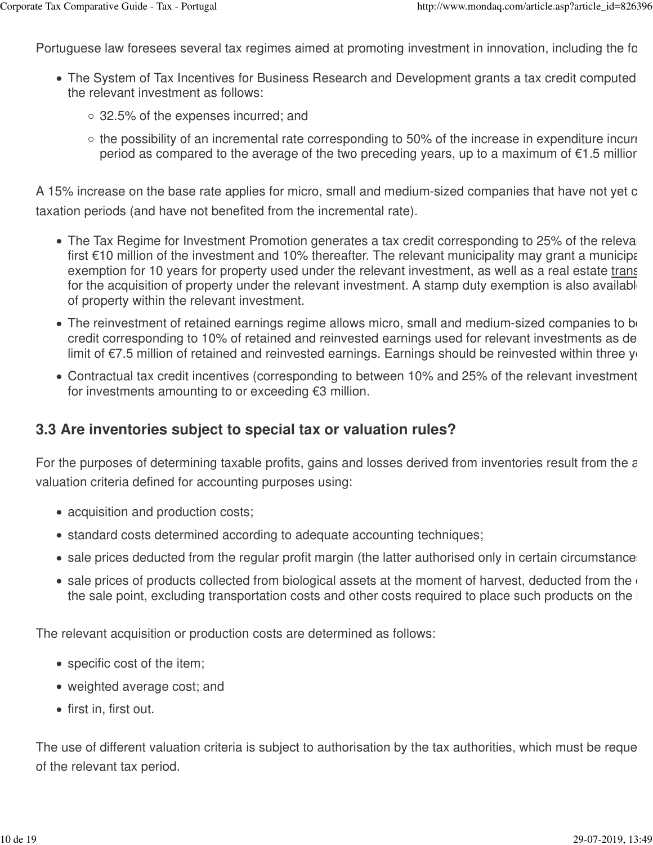Portuguese law foresees several tax regimes aimed at promoting investment in innovation, including the follow

- The System of Tax Incentives for Business Research and Development grants a tax credit computed the relevant investment as follows:
	- 32.5% of the expenses incurred; and
	- $\circ$  the possibility of an incremental rate corresponding to 50% of the increase in expenditure incurre period as compared to the average of the two preceding years, up to a maximum of  $\epsilon$ 1.5 millior.

A 15% increase on the base rate applies for micro, small and medium-sized companies that have not yet c taxation periods (and have not benefited from the incremental rate).

- The Tax Regime for Investment Promotion generates a tax credit corresponding to 25% of the releval first  $\epsilon$ 10 million of the investment and 10% thereafter. The relevant municipality may grant a municipal exemption for 10 years for property used under the relevant investment, as well as a real estate trans for the acquisition of property under the relevant investment. A stamp duty exemption is also available of property within the relevant investment.
- The reinvestment of retained earnings regime allows micro, small and medium-sized companies to be credit corresponding to 10% of retained and reinvested earnings used for relevant investments as de limit of  $\epsilon$ 7.5 million of retained and reinvested earnings. Earnings should be reinvested within three ye
- Contractual tax credit incentives (corresponding to between 10% and 25% of the relevant investment for investments amounting to or exceeding €3 million.

#### **3.3 Are inventories subject to special tax or valuation rules?**

For the purposes of determining taxable profits, gains and losses derived from inventories result from the a valuation criteria defined for accounting purposes using:

- acquisition and production costs;
- standard costs determined according to adequate accounting techniques;
- sale prices deducted from the regular profit margin (the latter authorised only in certain circumstances)
- $\bullet$  sale prices of products collected from biological assets at the moment of harvest, deducted from the  $\epsilon$ the sale point, excluding transportation costs and other costs required to place such products on the  $\blacksquare$

The relevant acquisition or production costs are determined as follows:

- specific cost of the item;
- weighted average cost; and
- first in, first out.

The use of different valuation criteria is subject to authorisation by the tax authorities, which must be reque of the relevant tax period.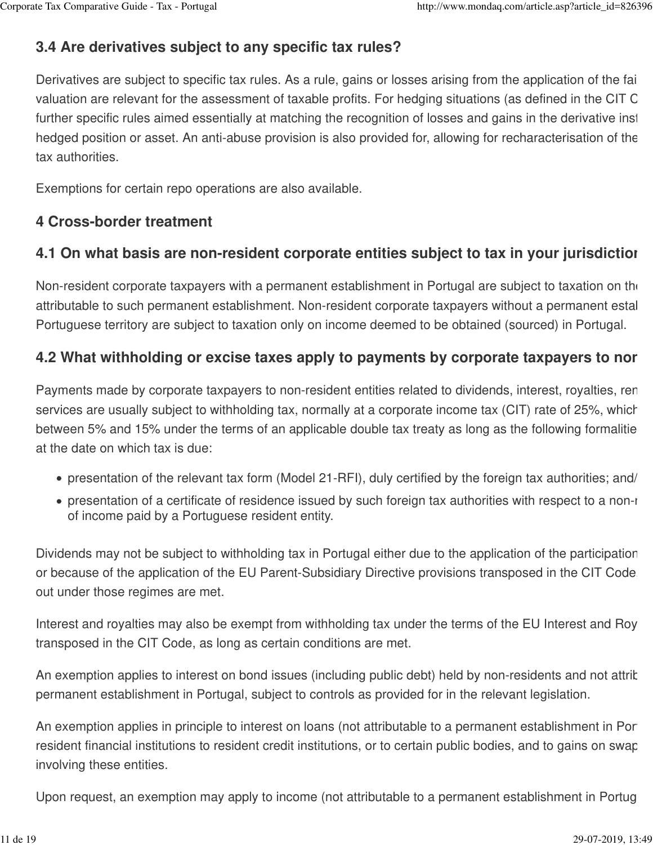# **3.4 Are derivatives subject to any specific tax rules?**

Derivatives are subject to specific tax rules. As a rule, gains or losses arising from the application of the fai valuation are relevant for the assessment of taxable profits. For hedging situations (as defined in the CIT C further specific rules aimed essentially at matching the recognition of losses and gains in the derivative inst hedged position or asset. An anti-abuse provision is also provided for, allowing for recharacterisation of the tax authorities.

Exemptions for certain repo operations are also available.

## **4 Cross-border treatment**

## **4.1 On what basis are non-resident corporate entities subject to tax in your jurisdiction?**

Non-resident corporate taxpayers with a permanent establishment in Portugal are subject to taxation on the attributable to such permanent establishment. Non-resident corporate taxpayers without a permanent estal Portuguese territory are subject to taxation only on income deemed to be obtained (sourced) in Portugal.

### **4.2 What withholding or excise taxes apply to payments by corporate taxpayers to non-residents?**

Payments made by corporate taxpayers to non-resident entities related to dividends, interest, royalties, rental services are usually subject to withholding tax, normally at a corporate income tax (CIT) rate of 25%, which between 5% and 15% under the terms of an applicable double tax treaty as long as the following formalitie at the date on which tax is due:

- presentation of the relevant tax form (Model 21-RFI), duly certified by the foreign tax authorities; and/
- presentation of a certificate of residence issued by such foreign tax authorities with respect to a non-resta of income paid by a Portuguese resident entity.

Dividends may not be subject to withholding tax in Portugal either due to the application of the participation or because of the application of the EU Parent-Subsidiary Directive provisions transposed in the CIT Code. out under those regimes are met.

Interest and royalties may also be exempt from withholding tax under the terms of the EU Interest and Roy transposed in the CIT Code, as long as certain conditions are met.

An exemption applies to interest on bond issues (including public debt) held by non-residents and not attric permanent establishment in Portugal, subject to controls as provided for in the relevant legislation.

An exemption applies in principle to interest on loans (not attributable to a permanent establishment in Portugal) resident financial institutions to resident credit institutions, or to certain public bodies, and to gains on swap involving these entities.

Upon request, an exemption may apply to income (not attributable to a permanent establishment in Portug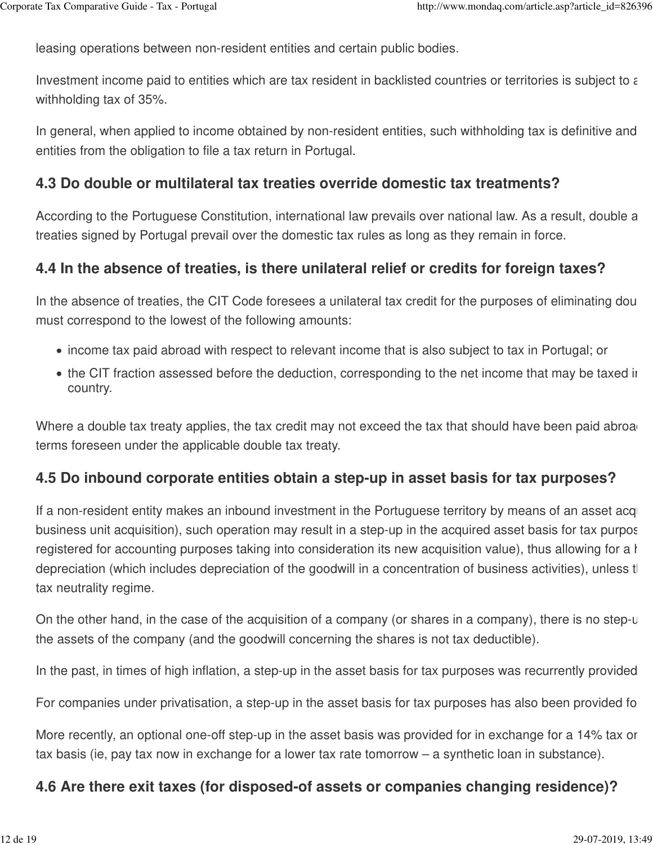leasing operations between non-resident entities and certain public bodies.

Investment income paid to entities which are tax resident in backlisted countries or territories is subject to  $\epsilon$ withholding tax of 35%.

In general, when applied to income obtained by non-resident entities, such withholding tax is definitive and entities from the obligation to file a tax return in Portugal.

#### **4.3 Do double or multilateral tax treaties override domestic tax treatments?**

According to the Portuguese Constitution, international law prevails over national law. As a result, double a treaties signed by Portugal prevail over the domestic tax rules as long as they remain in force.

#### **4.4 In the absence of treaties, is there unilateral relief or credits for foreign taxes?**

In the absence of treaties, the CIT Code foresees a unilateral tax credit for the purposes of eliminating dou must correspond to the lowest of the following amounts:

- income tax paid abroad with respect to relevant income that is also subject to tax in Portugal; or
- the CIT fraction assessed before the deduction, corresponding to the net income that may be taxed in country.

Where a double tax treaty applies, the tax credit may not exceed the tax that should have been paid abroad terms foreseen under the applicable double tax treaty.

#### **4.5 Do inbound corporate entities obtain a step-up in asset basis for tax purposes?**

If a non-resident entity makes an inbound investment in the Portuguese territory by means of an asset acqui business unit acquisition), such operation may result in a step-up in the acquired asset basis for tax purpos registered for accounting purposes taking into consideration its new acquisition value), thus allowing for a h depreciation (which includes depreciation of the goodwill in a concentration of business activities), unless that tax neutrality regime.

On the other hand, in the case of the acquisition of a company (or shares in a company), there is no step-u the assets of the company (and the goodwill concerning the shares is not tax deductible).

In the past, in times of high inflation, a step-up in the asset basis for tax purposes was recurrently provided

For companies under privatisation, a step-up in the asset basis for tax purposes has also been provided fo

More recently, an optional one-off step-up in the asset basis was provided for in exchange for a 14% tax or tax basis (ie, pay tax now in exchange for a lower tax rate tomorrow – a synthetic loan in substance).

#### **4.6 Are there exit taxes (for disposed-of assets or companies changing residence)?**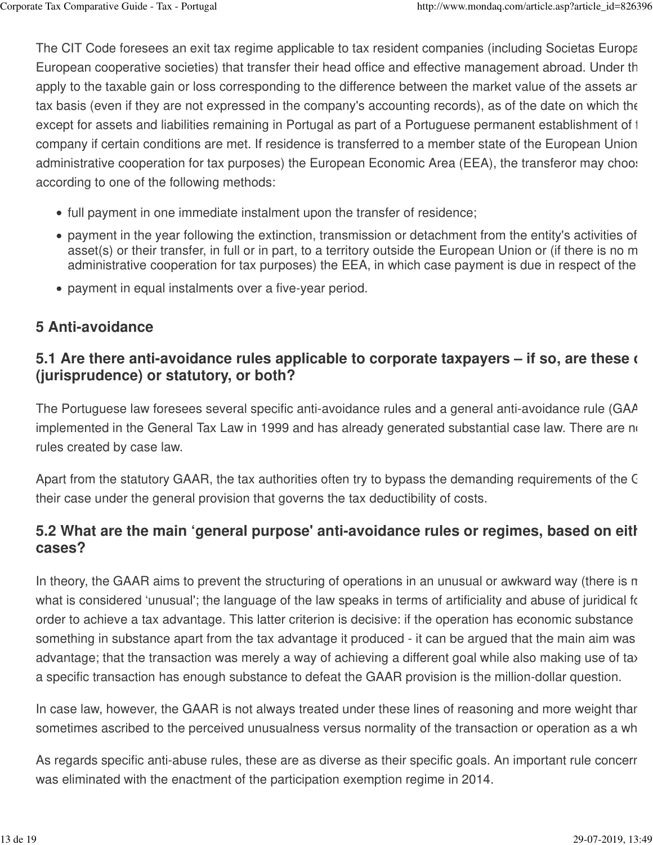The CIT Code foresees an exit tax regime applicable to tax resident companies (including Societas Europa European cooperative societies) that transfer their head office and effective management abroad. Under the apply to the taxable gain or loss corresponding to the difference between the market value of the assets ar tax basis (even if they are not expressed in the company's accounting records), as of the date on which the except for assets and liabilities remaining in Portugal as part of a Portuguese permanent establishment of the company if certain conditions are met. If residence is transferred to a member state of the European Union administrative cooperation for tax purposes) the European Economic Area (EEA), the transferor may choose according to one of the following methods:

- full payment in one immediate instalment upon the transfer of residence;
- payment in the year following the extinction, transmission or detachment from the entity's activities of asset(s) or their transfer, in full or in part, to a territory outside the European Union or (if there is no m administrative cooperation for tax purposes) the EEA, in which case payment is due in respect of the
- payment in equal instalments over a five-year period.

# **5 Anti-avoidance**

# **5.1 Are there anti-avoidance rules applicable to corporate taxpayers – if so, are these of (jurisprudence) or statutory, or both?**

The Portuguese law foresees several specific anti-avoidance rules and a general anti-avoidance rule (GAA implemented in the General Tax Law in 1999 and has already generated substantial case law. There are no rules created by case law.

Apart from the statutory GAAR, the tax authorities often try to bypass the demanding requirements of the G their case under the general provision that governs the tax deductibility of costs.

# 5.2 What are the main 'general purpose' anti-avoidance rules or regimes, based on eith **cases?**

In theory, the GAAR aims to prevent the structuring of operations in an unusual or awkward way (there is n what is considered 'unusual'; the language of the law speaks in terms of artificiality and abuse of juridical for order to achieve a tax advantage. This latter criterion is decisive: if the operation has economic substance something in substance apart from the tax advantage it produced - it can be argued that the main aim was advantage; that the transaction was merely a way of achieving a different goal while also making use of tax a specific transaction has enough substance to defeat the GAAR provision is the million-dollar question.

In case law, however, the GAAR is not always treated under these lines of reasoning and more weight thar sometimes ascribed to the perceived unusualness versus normality of the transaction or operation as a wh

As regards specific anti-abuse rules, these are as diverse as their specific goals. An important rule concerri was eliminated with the enactment of the participation exemption regime in 2014.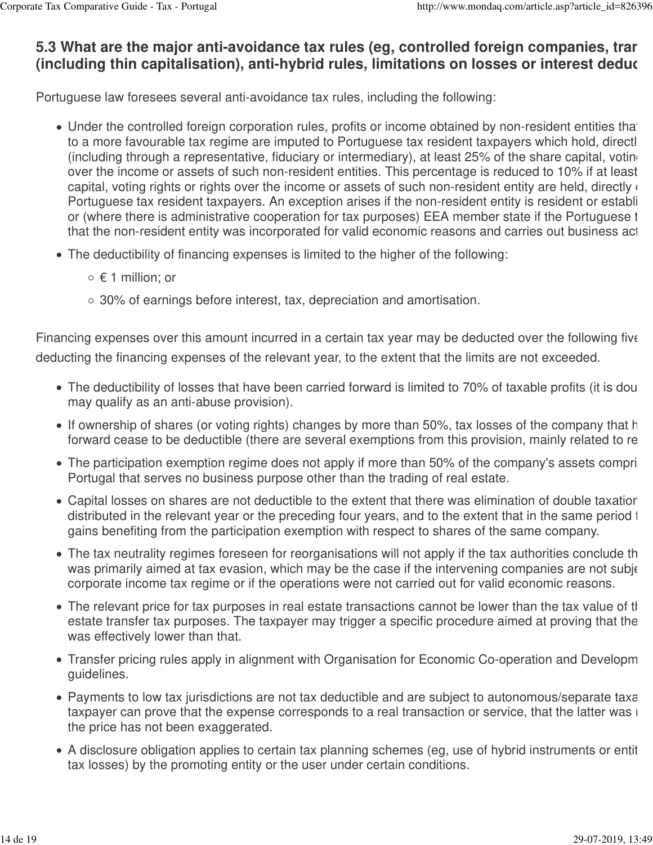## **5.3 What are the major anti-avoidance tax rules (eg, controlled foreign companies, transference** (including thin capitalisation), anti-hybrid rules, limitations on losses or interest deduc

Portuguese law foresees several anti-avoidance tax rules, including the following:

- Under the controlled foreign corporation rules, profits or income obtained by non-resident entities that to a more favourable tax regime are imputed to Portuguese tax resident taxpayers which hold, directly (including through a representative, fiduciary or intermediary), at least 25% of the share capital, voting over the income or assets of such non-resident entities. This percentage is reduced to 10% if at least capital, voting rights or rights over the income or assets of such non-resident entity are held, directly  $\epsilon$ Portuguese tax resident taxpayers. An exception arises if the non-resident entity is resident or establi or (where there is administrative cooperation for tax purposes) EEA member state if the Portuguese t that the non-resident entity was incorporated for valid economic reasons and carries out business act
- The deductibility of financing expenses is limited to the higher of the following:
	- € 1 million; or
	- 30% of earnings before interest, tax, depreciation and amortisation.

Financing expenses over this amount incurred in a certain tax year may be deducted over the following five deducting the financing expenses of the relevant year, to the extent that the limits are not exceeded.

- The deductibility of losses that have been carried forward is limited to 70% of taxable profits (it is dou may qualify as an anti-abuse provision).
- If ownership of shares (or voting rights) changes by more than 50%, tax losses of the company that h forward cease to be deductible (there are several exemptions from this provision, mainly related to re
- The participation exemption regime does not apply if more than 50% of the company's assets compri Portugal that serves no business purpose other than the trading of real estate.
- Capital losses on shares are not deductible to the extent that there was elimination of double taxatior distributed in the relevant year or the preceding four years, and to the extent that in the same period to gains benefiting from the participation exemption with respect to shares of the same company.
- The tax neutrality regimes foreseen for reorganisations will not apply if the tax authorities conclude th was primarily aimed at tax evasion, which may be the case if the intervening companies are not subje corporate income tax regime or if the operations were not carried out for valid economic reasons.
- The relevant price for tax purposes in real estate transactions cannot be lower than the tax value of the estate transfer tax purposes. The taxpayer may trigger a specific procedure aimed at proving that the was effectively lower than that.
- Transfer pricing rules apply in alignment with Organisation for Economic Co-operation and Developm guidelines.
- Payments to low tax jurisdictions are not tax deductible and are subject to autonomous/separate taxation, unless the taxpayer can prove that the expense corresponds to a real transaction or service, that the latter was i the price has not been exaggerated.
- A disclosure obligation applies to certain tax planning schemes (eg, use of hybrid instruments or entit tax losses) by the promoting entity or the user under certain conditions.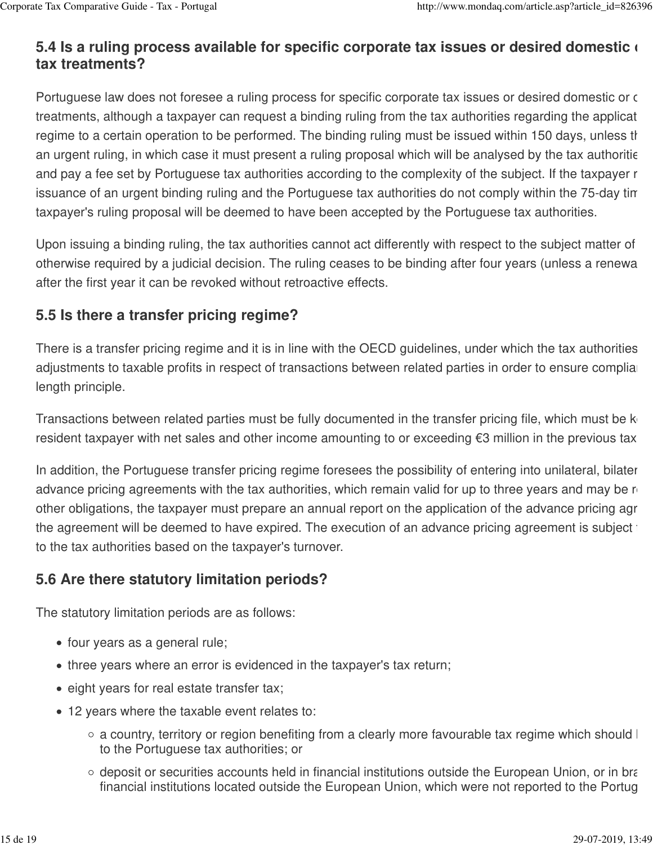# **5.4 Is a ruling process available for specific corporate tax issues or desired domestic or tax treatments?**

Portuguese law does not foresee a ruling process for specific corporate tax issues or desired domestic or c treatments, although a taxpayer can request a binding ruling from the tax authorities regarding the applicat regime to a certain operation to be performed. The binding ruling must be issued within 150 days, unless the an urgent ruling, in which case it must present a ruling proposal which will be analysed by the tax authoritie and pay a fee set by Portuguese tax authorities according to the complexity of the subject. If the taxpayer r issuance of an urgent binding ruling and the Portuguese tax authorities do not comply within the 75-day tin taxpayer's ruling proposal will be deemed to have been accepted by the Portuguese tax authorities.

Upon issuing a binding ruling, the tax authorities cannot act differently with respect to the subject matter of otherwise required by a judicial decision. The ruling ceases to be binding after four years (unless a renewa after the first year it can be revoked without retroactive effects.

# **5.5 Is there a transfer pricing regime?**

There is a transfer pricing regime and it is in line with the OECD guidelines, under which the tax authorities adjustments to taxable profits in respect of transactions between related parties in order to ensure complial length principle.

Transactions between related parties must be fully documented in the transfer pricing file, which must be kept resident taxpayer with net sales and other income amounting to or exceeding  $\epsilon$ 3 million in the previous tax

In addition, the Portuguese transfer pricing regime foresees the possibility of entering into unilateral, bilater advance pricing agreements with the tax authorities, which remain valid for up to three years and may be  $r_1$ other obligations, the taxpayer must prepare an annual report on the application of the advance pricing agreement; otherwise, and the advance pricing agreement; otherwise, and the advance pricing agreement; otherwise,  $\alpha$ the agreement will be deemed to have expired. The execution of an advance pricing agreement is subject  $\pm$ to the tax authorities based on the taxpayer's turnover.

# **5.6 Are there statutory limitation periods?**

The statutory limitation periods are as follows:

- four years as a general rule;
- three years where an error is evidenced in the taxpayer's tax return;
- eight years for real estate transfer tax;
- 12 years where the taxable event relates to:
	- $\circ$  a country, territory or region benefiting from a clearly more favourable tax regime which should  $\vdash$ to the Portuguese tax authorities; or
	- $\circ$  deposit or securities accounts held in financial institutions outside the European Union, or in branches financial institutions located outside the European Union, which were not reported to the Portug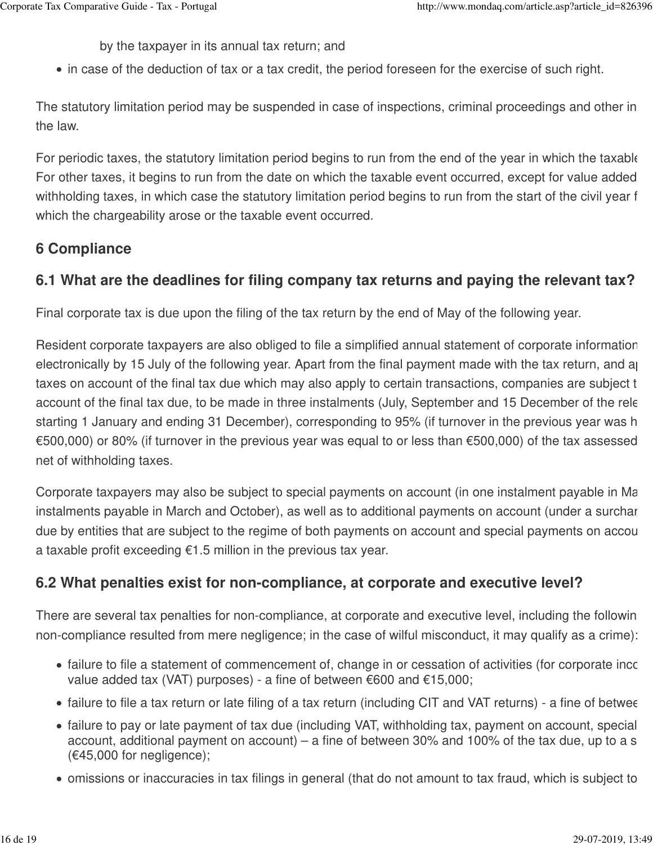by the taxpayer in its annual tax return; and

• in case of the deduction of tax or a tax credit, the period foreseen for the exercise of such right.

The statutory limitation period may be suspended in case of inspections, criminal proceedings and other in the law.

For periodic taxes, the statutory limitation period begins to run from the end of the year in which the taxable For other taxes, it begins to run from the date on which the taxable event occurred, except for value added withholding taxes, in which case the statutory limitation period begins to run from the start of the civil year f which the chargeability arose or the taxable event occurred.

# **6 Compliance**

# **6.1 What are the deadlines for filing company tax returns and paying the relevant tax?**

Final corporate tax is due upon the filing of the tax return by the end of May of the following year.

Resident corporate taxpayers are also obliged to file a simplified annual statement of corporate information electronically by 15 July of the following year. Apart from the final payment made with the tax return, and a taxes on account of the final tax due which may also apply to certain transactions, companies are subject to account of the final tax due, to be made in three instalments (July, September and 15 December of the rele starting 1 January and ending 31 December), corresponding to 95% (if turnover in the previous year was h €500,000) or 80% (if turnover in the previous year was equal to or less than €500,000) of the tax assessed net of withholding taxes.

Corporate taxpayers may also be subject to special payments on account (in one instalment payable in March, or instalments payable in March and October), as well as to additional payments on account (under a surchar due by entities that are subject to the regime of both payments on account and special payments on account a taxable profit exceeding €1.5 million in the previous tax year.

# **6.2 What penalties exist for non-compliance, at corporate and executive level?**

There are several tax penalties for non-compliance, at corporate and executive level, including the following non-compliance resulted from mere negligence; in the case of wilful misconduct, it may qualify as a crime):

- failure to file a statement of commencement of, change in or cessation of activities (for corporate income value added tax (VAT) purposes) - a fine of between €600 and €15,000;
- failure to file a tax return or late filing of a tax return (including CIT and VAT returns) a fine of betwee
- failure to pay or late payment of tax due (including VAT, withholding tax, payment on account, special account, additional payment on account) – a fine of between 30% and 100% of the tax due, up to a s (€45,000 for negligence);
- omissions or inaccuracies in tax filings in general (that do not amount to tax fraud, which is subject to criminal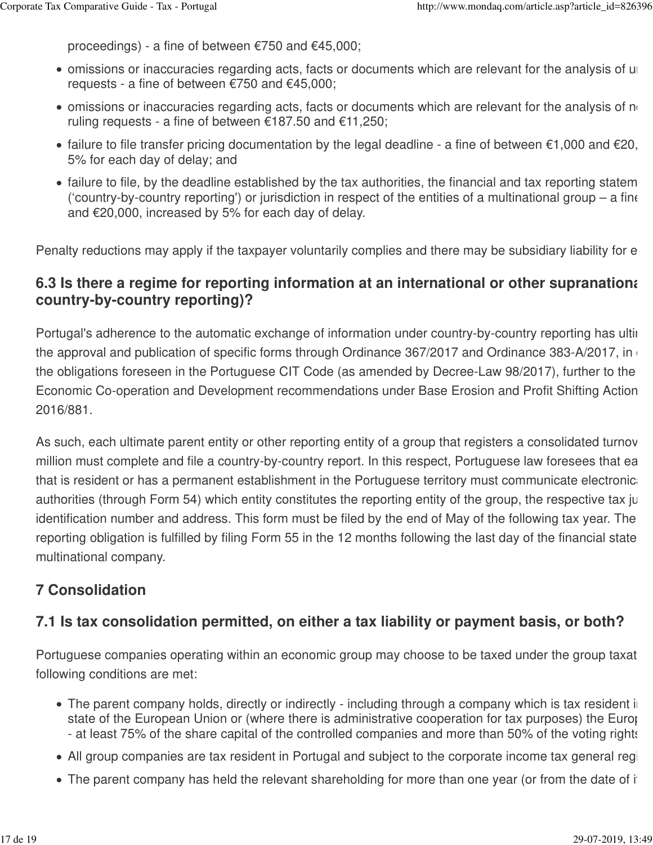proceedings) - a fine of between €750 and €45,000;

- omissions or inaccuracies regarding acts, facts or documents which are relevant for the analysis of ure requests - a fine of between €750 and €45,000;
- $\bullet$  omissions or inaccuracies regarding acts, facts or documents which are relevant for the analysis of no ruling requests - a fine of between €187.50 and €11,250;
- failure to file transfer pricing documentation by the legal deadline a fine of between  $\epsilon$ 1,000 and  $\epsilon$ 20, 5% for each day of delay; and
- $\bullet$  failure to file, by the deadline established by the tax authorities, the financial and tax reporting statem ('country-by-country reporting') or jurisdiction in respect of the entities of a multinational group – a fine and €20,000, increased by 5% for each day of delay.

Penalty reductions may apply if the taxpayer voluntarily complies and there may be subsidiary liability for e

### **6.3 Is there a regime for reporting information at an international or other supranational 6.3 Is there a country-by-country reporting)?**

Portugal's adherence to the automatic exchange of information under country-by-country reporting has ultimately the approval and publication of specific forms through Ordinance 367/2017 and Ordinance 383-A/2017, in the obligations foreseen in the Portuguese CIT Code (as amended by Decree-Law 98/2017), further to the Economic Co-operation and Development recommendations under Base Erosion and Profit Shifting Action 2016/881.

As such, each ultimate parent entity or other reporting entity of a group that registers a consolidated turnov million must complete and file a country-by-country report. In this respect, Portuguese law foresees that ea that is resident or has a permanent establishment in the Portuguese territory must communicate electronically authorities (through Form 54) which entity constitutes the reporting entity of the group, the respective tax ju identification number and address. This form must be filed by the end of May of the following tax year. The reporting obligation is fulfilled by filing Form 55 in the 12 months following the last day of the financial state multinational company.

# **7 Consolidation**

# **7.1 Is tax consolidation permitted, on either a tax liability or payment basis, or both?**

Portuguese companies operating within an economic group may choose to be taxed under the group taxat following conditions are met:

- The parent company holds, directly or indirectly including through a company which is tax resident in state of the European Union or (where there is administrative cooperation for tax purposes) the European Union - at least 75% of the share capital of the controlled companies and more than 50% of the voting rights
- All group companies are tax resident in Portugal and subject to the corporate income tax general regi-
- $\bullet$  The parent company has held the relevant shareholding for more than one year (or from the date of its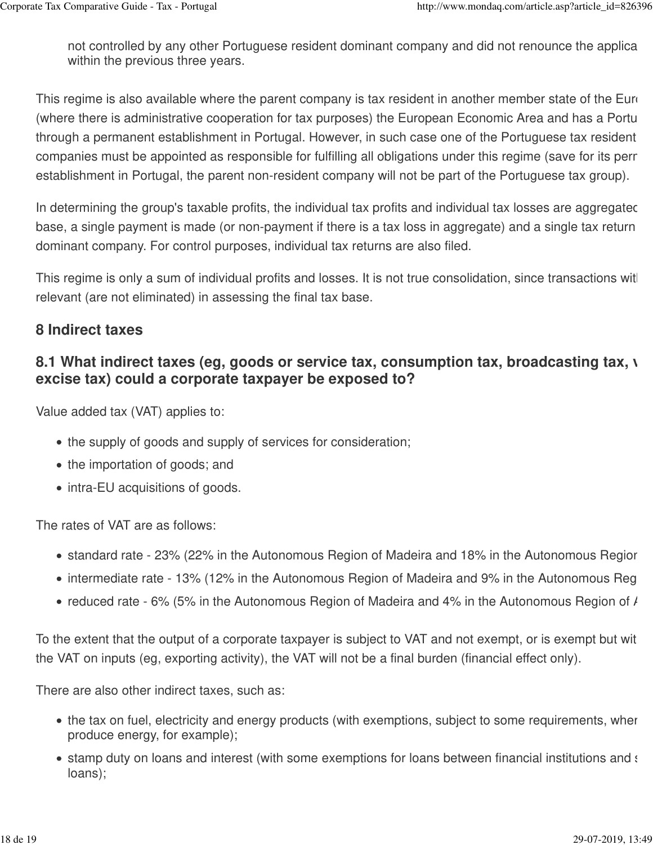not controlled by any other Portuguese resident dominant company and did not renounce the applica within the previous three years.

This regime is also available where the parent company is tax resident in another member state of the Euro (where there is administrative cooperation for tax purposes) the European Economic Area and has a Portu through a permanent establishment in Portugal. However, in such case one of the Portuguese tax resident companies must be appointed as responsible for fulfilling all obligations under this regime (save for its perr establishment in Portugal, the parent non-resident company will not be part of the Portuguese tax group).

In determining the group's taxable profits, the individual tax profits and individual tax losses are aggregated base, a single payment is made (or non-payment if there is a tax loss in aggregate) and a single tax return dominant company. For control purposes, individual tax returns are also filed.

This regime is only a sum of individual profits and losses. It is not true consolidation, since transactions wit relevant (are not eliminated) in assessing the final tax base.

### **8 Indirect taxes**

## **8.1 What indirect taxes (eg, goods or service tax, consumption tax, broadcasting tax, value 4 excise tax) could a corporate taxpayer be exposed to?**

Value added tax (VAT) applies to:

- the supply of goods and supply of services for consideration;
- the importation of goods; and
- intra-EU acquisitions of goods.

The rates of VAT are as follows:

- standard rate 23% (22% in the Autonomous Region of Madeira and 18% in the Autonomous Regior
- intermediate rate 13% (12% in the Autonomous Region of Madeira and 9% in the Autonomous Reg
- reduced rate 6% (5% in the Autonomous Region of Madeira and 4% in the Autonomous Region of  $\ell$

To the extent that the output of a corporate taxpayer is subject to VAT and not exempt, or is exempt but with the VAT on inputs (eg, exporting activity), the VAT will not be a final burden (financial effect only).

There are also other indirect taxes, such as:

- the tax on fuel, electricity and energy products (with exemptions, subject to some requirements, wher produce energy, for example);
- stamp duty on loans and interest (with some exemptions for loans between financial institutions and some interloans);